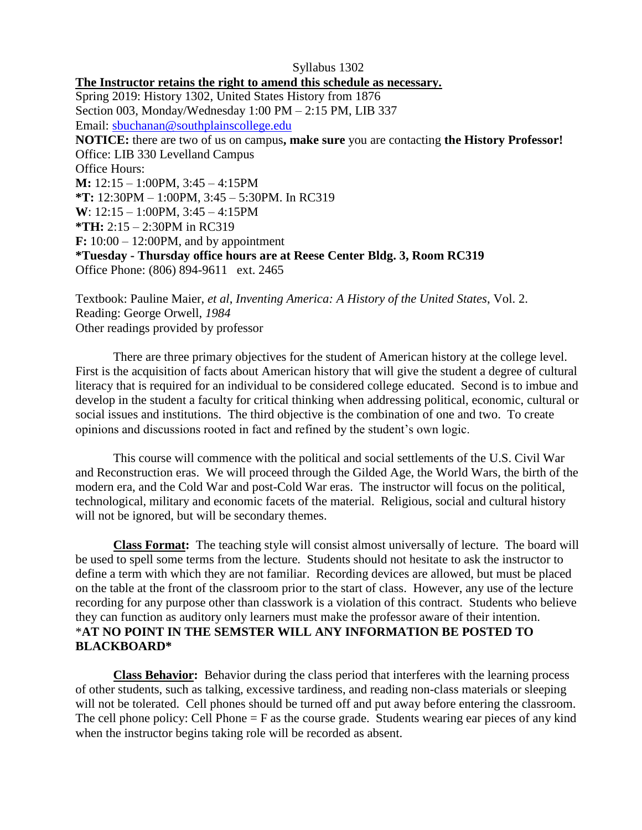Syllabus 1302 **The Instructor retains the right to amend this schedule as necessary.** Spring 2019: History 1302, United States History from 1876 Section 003, Monday/Wednesday 1:00 PM – 2:15 PM, LIB 337 Email: [sbuchanan@southplainscollege.edu](mailto:sbuchanan@southplainscollege.edu) **NOTICE:** there are two of us on campus**, make sure** you are contacting **the History Professor!** Office: LIB 330 Levelland Campus Office Hours: **M:** 12:15 – 1:00PM, 3:45 – 4:15PM **\*T:** 12:30PM – 1:00PM, 3:45 – 5:30PM. In RC319 **W**: 12:15 – 1:00PM, 3:45 – 4:15PM **\*TH:** 2:15 – 2:30PM in RC319 **F:** 10:00 – 12:00PM, and by appointment **\*Tuesday - Thursday office hours are at Reese Center Bldg. 3, Room RC319** Office Phone: (806) 894-9611 ext. 2465

Textbook: Pauline Maier, *et al*, *Inventing America: A History of the United States*, Vol. 2. Reading: George Orwell, *1984* Other readings provided by professor

There are three primary objectives for the student of American history at the college level. First is the acquisition of facts about American history that will give the student a degree of cultural literacy that is required for an individual to be considered college educated. Second is to imbue and develop in the student a faculty for critical thinking when addressing political, economic, cultural or social issues and institutions. The third objective is the combination of one and two. To create opinions and discussions rooted in fact and refined by the student's own logic.

This course will commence with the political and social settlements of the U.S. Civil War and Reconstruction eras. We will proceed through the Gilded Age, the World Wars, the birth of the modern era, and the Cold War and post-Cold War eras. The instructor will focus on the political, technological, military and economic facets of the material. Religious, social and cultural history will not be ignored, but will be secondary themes.

**Class Format:** The teaching style will consist almost universally of lecture. The board will be used to spell some terms from the lecture. Students should not hesitate to ask the instructor to define a term with which they are not familiar. Recording devices are allowed, but must be placed on the table at the front of the classroom prior to the start of class. However, any use of the lecture recording for any purpose other than classwork is a violation of this contract. Students who believe they can function as auditory only learners must make the professor aware of their intention. \***AT NO POINT IN THE SEMSTER WILL ANY INFORMATION BE POSTED TO BLACKBOARD\***

**Class Behavior:** Behavior during the class period that interferes with the learning process of other students, such as talking, excessive tardiness, and reading non-class materials or sleeping will not be tolerated. Cell phones should be turned off and put away before entering the classroom. The cell phone policy: Cell Phone  $=$  F as the course grade. Students wearing ear pieces of any kind when the instructor begins taking role will be recorded as absent.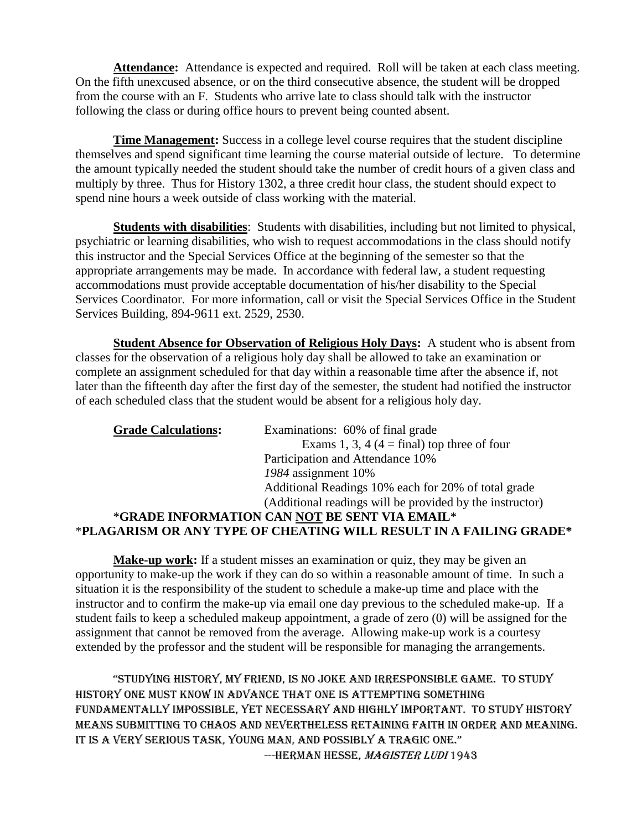**Attendance:** Attendance is expected and required. Roll will be taken at each class meeting. On the fifth unexcused absence, or on the third consecutive absence, the student will be dropped from the course with an F. Students who arrive late to class should talk with the instructor following the class or during office hours to prevent being counted absent.

**Time Management:** Success in a college level course requires that the student discipline themselves and spend significant time learning the course material outside of lecture. To determine the amount typically needed the student should take the number of credit hours of a given class and multiply by three. Thus for History 1302, a three credit hour class, the student should expect to spend nine hours a week outside of class working with the material.

**Students with disabilities**: Students with disabilities, including but not limited to physical, psychiatric or learning disabilities, who wish to request accommodations in the class should notify this instructor and the Special Services Office at the beginning of the semester so that the appropriate arrangements may be made. In accordance with federal law, a student requesting accommodations must provide acceptable documentation of his/her disability to the Special Services Coordinator. For more information, call or visit the Special Services Office in the Student Services Building, 894-9611 ext. 2529, 2530.

**Student Absence for Observation of Religious Holy Days:** A student who is absent from classes for the observation of a religious holy day shall be allowed to take an examination or complete an assignment scheduled for that day within a reasonable time after the absence if, not later than the fifteenth day after the first day of the semester, the student had notified the instructor of each scheduled class that the student would be absent for a religious holy day.

| <b>Grade Calculations:</b> | Examinations: 60% of final grade                                   |
|----------------------------|--------------------------------------------------------------------|
|                            | Exams 1, 3, 4 (4 = final) top three of four                        |
|                            | Participation and Attendance 10%                                   |
|                            | 1984 assignment 10%                                                |
|                            | Additional Readings 10% each for 20% of total grade                |
|                            | (Additional readings will be provided by the instructor)           |
|                            | *GRADE INFORMATION CAN NOT BE SENT VIA EMAIL*                      |
|                            | *PLAGARISM OR ANY TYPE OF CHEATING WILL RESULT IN A FAILING GRADE* |

**Make-up work:** If a student misses an examination or quiz, they may be given an opportunity to make-up the work if they can do so within a reasonable amount of time.In such a situation it is the responsibility of the student to schedule a make-up time and place with the instructor and to confirm the make-up via email one day previous to the scheduled make-up. If a student fails to keep a scheduled makeup appointment, a grade of zero (0) will be assigned for the assignment that cannot be removed from the average. Allowing make-up work is a courtesy extended by the professor and the student will be responsible for managing the arrangements.

"Studying hiStory, my friend, iS no joke and irreSponSible game. to Study history one must know in advance that one is attempting something fundamentally impossible, yet necessary and highly important. To study history means submitting to chaos and nevertheless retaining faith in order and meaning. It is a very serious task, young man, and possibly a tragic one." ---HERMAN HESSE, MAGISTER LUDI 1943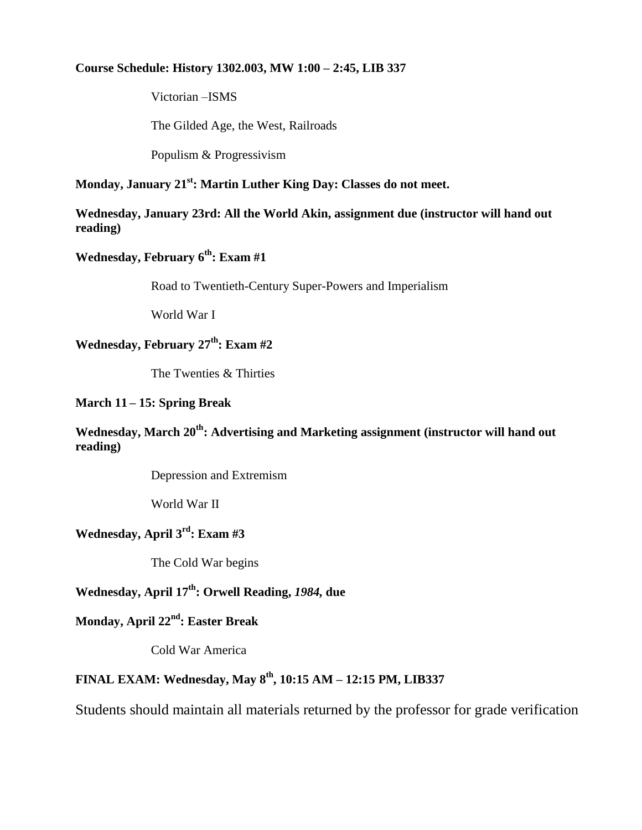#### **Course Schedule: History 1302.003, MW 1:00 – 2:45, LIB 337**

Victorian –ISMS

The Gilded Age, the West, Railroads

Populism & Progressivism

#### **Monday, January 21st: Martin Luther King Day: Classes do not meet.**

#### **Wednesday, January 23rd: All the World Akin, assignment due (instructor will hand out reading)**

### **Wednesday, February 6th: Exam #1**

Road to Twentieth-Century Super-Powers and Imperialism

World War I

## **Wednesday, February 27th: Exam #2**

The Twenties & Thirties

#### **March 11 – 15: Spring Break**

#### **Wednesday, March 20th: Advertising and Marketing assignment (instructor will hand out reading)**

Depression and Extremism

World War II

#### **Wednesday, April 3rd: Exam #3**

The Cold War begins

### **Wednesday, April 17th: Orwell Reading,** *1984,* **due**

### **Monday, April 22nd: Easter Break**

Cold War America

### **FINAL EXAM: Wednesday, May 8th , 10:15 AM – 12:15 PM, LIB337**

Students should maintain all materials returned by the professor for grade verification